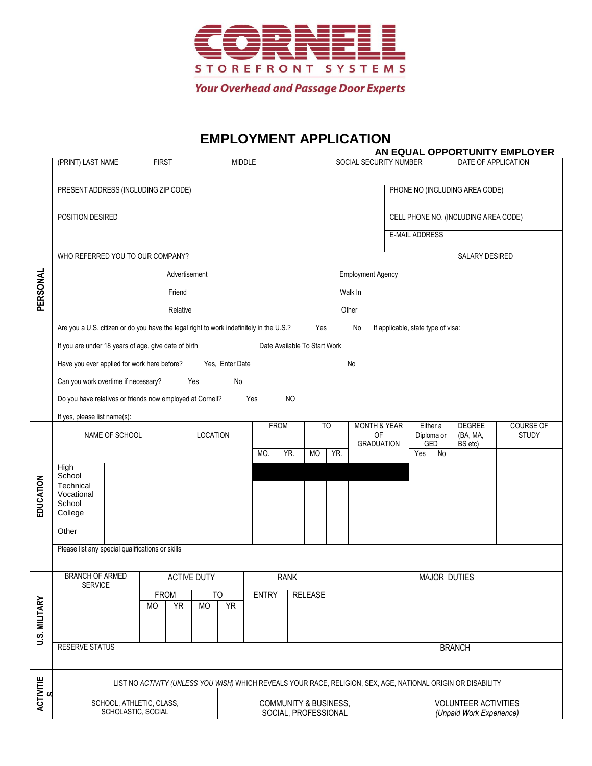

## **EMPLOYMENT APPLICATION**

|                      |                                                                                                                                                                   |  |                                          |                    |                      |                                |                                  |                                |                                                 | AN EQUAL OPPORTUNITY EMPLOYER  |                                      |                             |                           |                           |  |  |
|----------------------|-------------------------------------------------------------------------------------------------------------------------------------------------------------------|--|------------------------------------------|--------------------|----------------------|--------------------------------|----------------------------------|--------------------------------|-------------------------------------------------|--------------------------------|--------------------------------------|-----------------------------|---------------------------|---------------------------|--|--|
|                      | (PRINT) LAST NAME                                                                                                                                                 |  | <b>FIRST</b>                             |                    | <b>MIDDLE</b>        |                                |                                  |                                |                                                 | SOCIAL SECURITY NUMBER         |                                      |                             |                           | DATE OF APPLICATION       |  |  |
|                      |                                                                                                                                                                   |  |                                          |                    |                      |                                |                                  |                                |                                                 |                                |                                      |                             |                           |                           |  |  |
|                      | PRESENT ADDRESS (INCLUDING ZIP CODE)                                                                                                                              |  |                                          |                    |                      |                                |                                  |                                |                                                 | PHONE NO (INCLUDING AREA CODE) |                                      |                             |                           |                           |  |  |
|                      |                                                                                                                                                                   |  |                                          |                    |                      |                                |                                  |                                |                                                 |                                |                                      |                             |                           |                           |  |  |
|                      | POSITION DESIRED                                                                                                                                                  |  |                                          |                    |                      |                                |                                  |                                |                                                 |                                | CELL PHONE NO. (INCLUDING AREA CODE) |                             |                           |                           |  |  |
| PERSONAL             |                                                                                                                                                                   |  |                                          |                    |                      |                                | <b>E-MAIL ADDRESS</b>            |                                |                                                 |                                |                                      |                             |                           |                           |  |  |
|                      |                                                                                                                                                                   |  |                                          |                    |                      |                                |                                  |                                |                                                 |                                | <b>SALARY DESIRED</b>                |                             |                           |                           |  |  |
|                      | WHO REFERRED YOU TO OUR COMPANY?                                                                                                                                  |  |                                          |                    |                      |                                |                                  |                                |                                                 |                                |                                      |                             |                           |                           |  |  |
|                      |                                                                                                                                                                   |  |                                          |                    |                      |                                |                                  |                                |                                                 |                                |                                      |                             |                           |                           |  |  |
|                      | <b>Example 2018</b> Service School Service School Service School Service School Service School Service School Service                                             |  |                                          |                    |                      | <b>Malk In</b>                 |                                  |                                |                                                 |                                |                                      |                             |                           |                           |  |  |
|                      | Relative                                                                                                                                                          |  |                                          |                    |                      |                                |                                  |                                |                                                 | Other                          |                                      |                             |                           |                           |  |  |
|                      | Are you a U.S. citizen or do you have the legal right to work indefinitely in the U.S.? _____Yes _____No If applicable, state type of visa: _____________________ |  |                                          |                    |                      |                                |                                  |                                |                                                 |                                |                                      |                             |                           |                           |  |  |
|                      |                                                                                                                                                                   |  |                                          |                    |                      |                                |                                  |                                |                                                 |                                |                                      |                             |                           |                           |  |  |
|                      |                                                                                                                                                                   |  |                                          |                    |                      |                                |                                  |                                |                                                 |                                |                                      |                             |                           |                           |  |  |
|                      | Have you ever applied for work here before? _____ Yes, Enter Date ___________________________ No                                                                  |  |                                          |                    |                      |                                |                                  |                                |                                                 |                                |                                      |                             |                           |                           |  |  |
|                      | Can you work overtime if necessary? _______ Yes ________ No                                                                                                       |  |                                          |                    |                      |                                |                                  |                                |                                                 |                                |                                      |                             |                           |                           |  |  |
|                      | Do you have relatives or friends now employed at Cornell? _____ Yes _____ NO                                                                                      |  |                                          |                    |                      |                                |                                  |                                |                                                 |                                |                                      |                             |                           |                           |  |  |
|                      | If yes, please list name(s):                                                                                                                                      |  |                                          |                    |                      |                                |                                  |                                |                                                 |                                |                                      |                             |                           |                           |  |  |
|                      | NAME OF SCHOOL                                                                                                                                                    |  |                                          | <b>LOCATION</b>    |                      | <b>FROM</b>                    |                                  |                                | <b>MONTH &amp; YEAR</b><br>T <sub>O</sub><br>OF |                                | Either a<br>Diploma or               |                             | <b>DEGREE</b><br>(BA, MA, | COURSE OF<br><b>STUDY</b> |  |  |
|                      |                                                                                                                                                                   |  |                                          |                    | MO.<br>YR.           |                                |                                  | <b>GRADUATION</b><br>MO<br>YR. |                                                 | GED<br>$\overline{Yes}$<br>No  |                                      |                             | BS etc)                   |                           |  |  |
|                      | High                                                                                                                                                              |  |                                          |                    |                      |                                |                                  |                                |                                                 |                                |                                      |                             |                           |                           |  |  |
|                      | School                                                                                                                                                            |  |                                          |                    |                      |                                |                                  |                                |                                                 |                                |                                      |                             |                           |                           |  |  |
|                      | Technical<br>Vocational                                                                                                                                           |  |                                          |                    |                      |                                |                                  |                                |                                                 |                                |                                      |                             |                           |                           |  |  |
| EDUCATION            | School                                                                                                                                                            |  |                                          |                    |                      |                                |                                  |                                |                                                 |                                |                                      |                             |                           |                           |  |  |
|                      | College                                                                                                                                                           |  |                                          |                    |                      |                                |                                  |                                |                                                 |                                |                                      |                             |                           |                           |  |  |
|                      | Other                                                                                                                                                             |  |                                          |                    |                      |                                |                                  |                                |                                                 |                                |                                      |                             |                           |                           |  |  |
|                      | Please list any special qualifications or skills                                                                                                                  |  |                                          |                    |                      |                                |                                  |                                |                                                 |                                |                                      |                             |                           |                           |  |  |
|                      |                                                                                                                                                                   |  |                                          |                    |                      |                                |                                  |                                |                                                 |                                |                                      |                             |                           |                           |  |  |
|                      | <b>BRANCH OF ARMED</b><br><b>SERVICE</b>                                                                                                                          |  |                                          | <b>ACTIVE DUTY</b> | RANK                 |                                |                                  |                                |                                                 | <b>MAJOR DUTIES</b>            |                                      |                             |                           |                           |  |  |
|                      |                                                                                                                                                                   |  | <b>FROM</b><br>T <sub>O</sub>            |                    |                      | <b>ENTRY</b><br><b>RELEASE</b> |                                  |                                |                                                 |                                |                                      |                             |                           |                           |  |  |
|                      | <b>MO</b>                                                                                                                                                         |  | YR <sup></sup><br><b>MO</b><br><b>YR</b> |                    |                      |                                |                                  |                                |                                                 |                                |                                      |                             |                           |                           |  |  |
|                      |                                                                                                                                                                   |  |                                          |                    |                      |                                |                                  |                                |                                                 |                                |                                      |                             |                           |                           |  |  |
| <b>U.S. MILITARY</b> |                                                                                                                                                                   |  |                                          |                    |                      |                                |                                  |                                |                                                 |                                |                                      |                             |                           |                           |  |  |
|                      | <b>RESERVE STATUS</b>                                                                                                                                             |  |                                          |                    |                      |                                |                                  |                                |                                                 |                                | <b>BRANCH</b>                        |                             |                           |                           |  |  |
|                      |                                                                                                                                                                   |  |                                          |                    |                      |                                |                                  |                                |                                                 |                                |                                      |                             |                           |                           |  |  |
| ACTIVITIE<br>S       | LIST NO ACTIVITY (UNLESS YOU WISH) WHICH REVEALS YOUR RACE, RELIGION, SEX, AGE, NATIONAL ORIGIN OR DISABILITY                                                     |  |                                          |                    |                      |                                |                                  |                                |                                                 |                                |                                      |                             |                           |                           |  |  |
|                      | SCHOOL, ATHLETIC, CLASS,                                                                                                                                          |  |                                          |                    |                      |                                | <b>COMMUNITY &amp; BUSINESS,</b> |                                |                                                 |                                |                                      | <b>VOLUNTEER ACTIVITIES</b> |                           |                           |  |  |
|                      | SCHOLASTIC, SOCIAL                                                                                                                                                |  |                                          |                    | SOCIAL, PROFESSIONAL |                                |                                  |                                |                                                 |                                |                                      | (Unpaid Work Experience)    |                           |                           |  |  |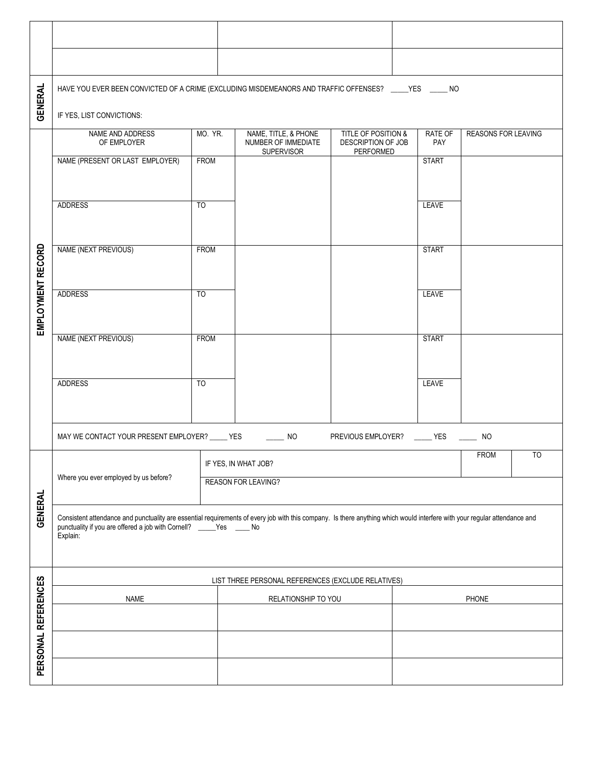| <b>GENERAL</b>      | HAVE YOU EVER BEEN CONVICTED OF A CRIME (EXCLUDING MISDEMEANORS AND TRAFFIC OFFENSES? ____YES _____ NO                                                                                                                                                        |                 |                                                       |                                                                  |                                                                   |  |                       |                            |  |  |  |  |
|---------------------|---------------------------------------------------------------------------------------------------------------------------------------------------------------------------------------------------------------------------------------------------------------|-----------------|-------------------------------------------------------|------------------------------------------------------------------|-------------------------------------------------------------------|--|-----------------------|----------------------------|--|--|--|--|
|                     | IF YES, LIST CONVICTIONS:                                                                                                                                                                                                                                     |                 |                                                       |                                                                  |                                                                   |  |                       |                            |  |  |  |  |
| EMPLOYMENT RECORD   | NAME AND ADDRESS<br>OF EMPLOYER                                                                                                                                                                                                                               |                 | MO. YR.                                               | NAME, TITLE, & PHONE<br>NUMBER OF IMMEDIATE<br><b>SUPERVISOR</b> | <b>TITLE OF POSITION &amp;</b><br>DESCRIPTION OF JOB<br>PERFORMED |  | <b>RATE OF</b><br>PAY | <b>REASONS FOR LEAVING</b> |  |  |  |  |
|                     | <b>FROM</b><br>NAME (PRESENT OR LAST EMPLOYER)                                                                                                                                                                                                                |                 |                                                       |                                                                  |                                                                   |  | <b>START</b>          |                            |  |  |  |  |
|                     | <b>ADDRESS</b><br>T <sub>O</sub>                                                                                                                                                                                                                              |                 |                                                       |                                                                  |                                                                   |  | <b>LEAVE</b>          |                            |  |  |  |  |
|                     | NAME (NEXT PREVIOUS)<br><b>FROM</b>                                                                                                                                                                                                                           |                 |                                                       |                                                                  |                                                                   |  | <b>START</b>          |                            |  |  |  |  |
|                     |                                                                                                                                                                                                                                                               |                 |                                                       |                                                                  |                                                                   |  |                       |                            |  |  |  |  |
|                     | <b>ADDRESS</b><br>$\overline{10}$                                                                                                                                                                                                                             |                 |                                                       |                                                                  |                                                                   |  | <b>LEAVE</b>          |                            |  |  |  |  |
|                     |                                                                                                                                                                                                                                                               |                 |                                                       |                                                                  |                                                                   |  |                       |                            |  |  |  |  |
|                     | NAME (NEXT PREVIOUS)<br><b>FROM</b>                                                                                                                                                                                                                           |                 |                                                       |                                                                  |                                                                   |  | <b>START</b>          |                            |  |  |  |  |
|                     | <b>ADDRESS</b>                                                                                                                                                                                                                                                |                 |                                                       |                                                                  | <b>LEAVE</b>                                                      |  |                       |                            |  |  |  |  |
|                     |                                                                                                                                                                                                                                                               | $\overline{10}$ |                                                       |                                                                  |                                                                   |  |                       |                            |  |  |  |  |
|                     | MAY WE CONTACT YOUR PRESENT EMPLOYER? _____ YES<br>PREVIOUS EMPLOYER? _____ YES<br>$\sim$ NO<br><b>NO</b>                                                                                                                                                     |                 |                                                       |                                                                  |                                                                   |  |                       |                            |  |  |  |  |
| <b>GENERAL</b>      | Where you ever employed by us before?                                                                                                                                                                                                                         |                 | T <sub>0</sub><br><b>FROM</b><br>IF YES, IN WHAT JOB? |                                                                  |                                                                   |  |                       |                            |  |  |  |  |
|                     |                                                                                                                                                                                                                                                               |                 | <b>REASON FOR LEAVING?</b>                            |                                                                  |                                                                   |  |                       |                            |  |  |  |  |
|                     | Consistent attendance and punctuality are essential requirements of every job with this company. Is there anything which would interfere with your regular attendance and<br>punctuality if you are offered a job with Cornell? _____Yes _____ No<br>Explain: |                 |                                                       |                                                                  |                                                                   |  |                       |                            |  |  |  |  |
| PERSONAL REFERENCES | LIST THREE PERSONAL REFERENCES (EXCLUDE RELATIVES)                                                                                                                                                                                                            |                 |                                                       |                                                                  |                                                                   |  |                       |                            |  |  |  |  |
|                     | <b>NAME</b>                                                                                                                                                                                                                                                   |                 |                                                       | RELATIONSHIP TO YOU                                              |                                                                   |  | PHONE                 |                            |  |  |  |  |
|                     |                                                                                                                                                                                                                                                               |                 |                                                       |                                                                  |                                                                   |  |                       |                            |  |  |  |  |
|                     |                                                                                                                                                                                                                                                               |                 |                                                       |                                                                  |                                                                   |  |                       |                            |  |  |  |  |
|                     |                                                                                                                                                                                                                                                               |                 |                                                       |                                                                  |                                                                   |  |                       |                            |  |  |  |  |